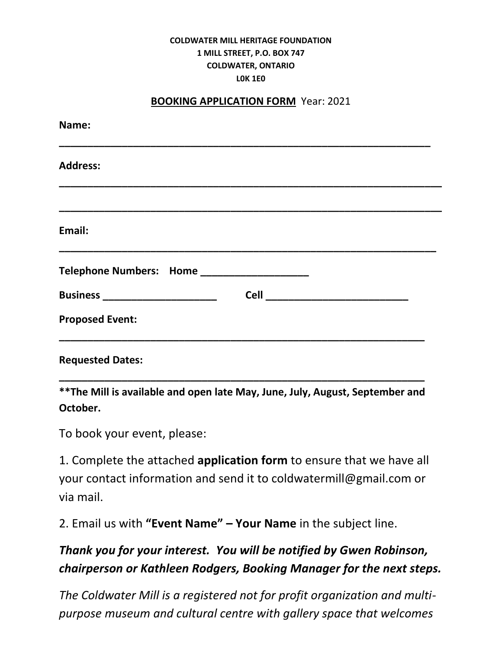## **COLDWATER MILL HERITAGE FOUNDATION 1 MILL STREET, P.O. BOX 747 COLDWATER, ONTARIO L0K 1E0**

## **BOOKING APPLICATION FORM** Year: 2021

| Name:                                       |                                         |
|---------------------------------------------|-----------------------------------------|
| <b>Address:</b>                             |                                         |
|                                             |                                         |
| Email:                                      |                                         |
| Telephone Numbers: Home ___________________ |                                         |
| Business _________________________          | <b>Cell ___________________________</b> |
| <b>Proposed Event:</b>                      |                                         |
| <b>Requested Dates:</b>                     |                                         |

**\*\*The Mill is available and open late May, June, July, August, September and October.** 

**\_\_\_\_\_\_\_\_\_\_\_\_\_\_\_\_\_\_\_\_\_\_\_\_\_\_\_\_\_\_\_\_\_\_\_\_\_\_\_\_\_\_\_\_\_\_\_\_\_\_\_\_\_\_\_\_\_\_\_\_\_\_\_\_**

To book your event, please:

1. Complete the attached **application form** to ensure that we have all your contact information and send it to coldwatermill@gmail.com or via mail.

2. Email us with **"Event Name" – Your Name** in the subject line.

## *Thank you for your interest. You will be notified by Gwen Robinson, chairperson or Kathleen Rodgers, Booking Manager for the next steps.*

*The Coldwater Mill is a registered not for profit organization and multipurpose museum and cultural centre with gallery space that welcomes*